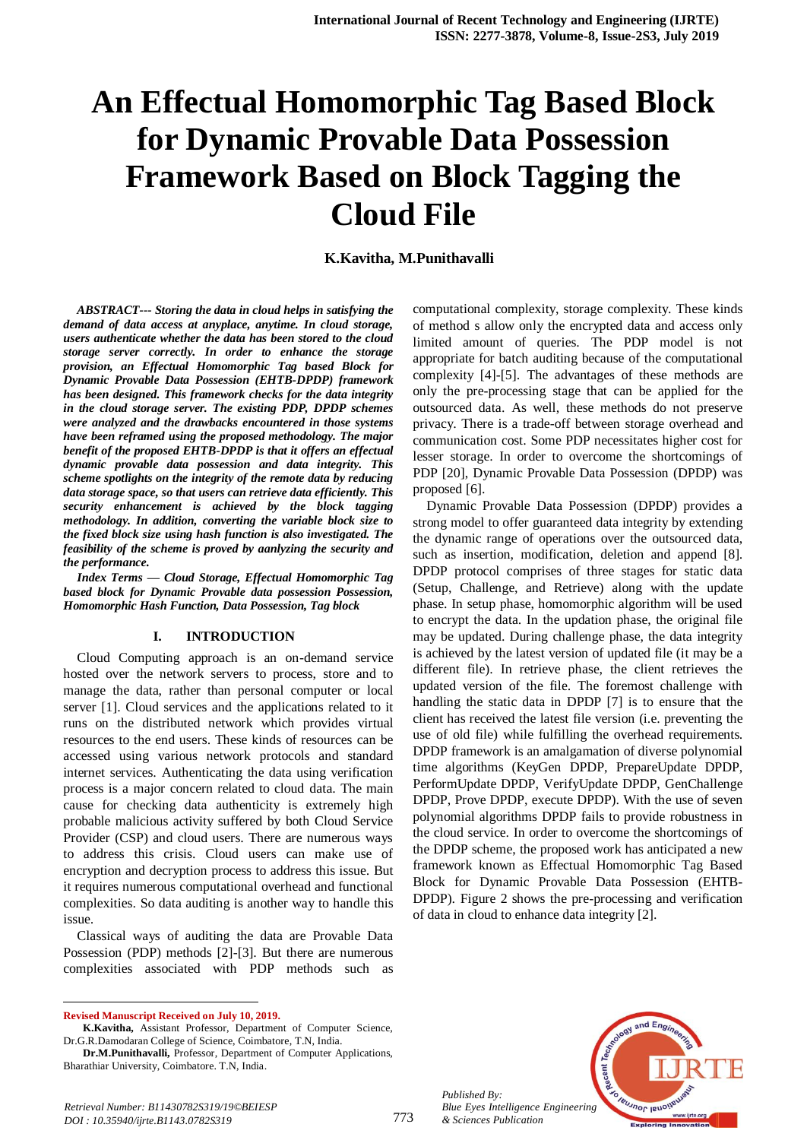# **An Effectual Homomorphic Tag Based Block for Dynamic Provable Data Possession Framework Based on Block Tagging the Cloud File**

# **K.Kavitha, M.Punithavalli**

*ABSTRACT--- Storing the data in cloud helps in satisfying the demand of data access at anyplace, anytime. In cloud storage, users authenticate whether the data has been stored to the cloud storage server correctly. In order to enhance the storage provision, an Effectual Homomorphic Tag based Block for Dynamic Provable Data Possession (EHTB-DPDP) framework has been designed. This framework checks for the data integrity in the cloud storage server. The existing PDP, DPDP schemes were analyzed and the drawbacks encountered in those systems have been reframed using the proposed methodology. The major benefit of the proposed EHTB-DPDP is that it offers an effectual dynamic provable data possession and data integrity. This scheme spotlights on the integrity of the remote data by reducing data storage space, so that users can retrieve data efficiently. This security enhancement is achieved by the block tagging methodology. In addition, converting the variable block size to the fixed block size using hash function is also investigated. The feasibility of the scheme is proved by aanlyzing the security and the performance.*

*Index Terms — Cloud Storage, Effectual Homomorphic Tag based block for Dynamic Provable data possession Possession, Homomorphic Hash Function, Data Possession, Tag block*

#### **I. INTRODUCTION**

Cloud Computing approach is an on-demand service hosted over the network servers to process, store and to manage the data, rather than personal computer or local server [1]. Cloud services and the applications related to it runs on the distributed network which provides virtual resources to the end users. These kinds of resources can be accessed using various network protocols and standard internet services. Authenticating the data using verification process is a major concern related to cloud data. The main cause for checking data authenticity is extremely high probable malicious activity suffered by both Cloud Service Provider (CSP) and cloud users. There are numerous ways to address this crisis. Cloud users can make use of encryption and decryption process to address this issue. But it requires numerous computational overhead and functional complexities. So data auditing is another way to handle this issue.

Classical ways of auditing the data are Provable Data Possession (PDP) methods [2]-[3]. But there are numerous complexities associated with PDP methods such as

**Revised Manuscript Received on July 10, 2019.**

 $\overline{a}$ 

**K.Kavitha,** Assistant Professor, Department of Computer Science, Dr.G.R.Damodaran College of Science, Coimbatore, T.N, India.

**Dr.M.Punithavalli,** Professor, Department of Computer Applications, Bharathiar University, Coimbatore. T.N, India.

computational complexity, storage complexity. These kinds of method s allow only the encrypted data and access only limited amount of queries. The PDP model is not appropriate for batch auditing because of the computational complexity [4]-[5]. The advantages of these methods are only the pre-processing stage that can be applied for the outsourced data. As well, these methods do not preserve privacy. There is a trade-off between storage overhead and communication cost. Some PDP necessitates higher cost for lesser storage. In order to overcome the shortcomings of PDP [20], Dynamic Provable Data Possession (DPDP) was proposed [6].

Dynamic Provable Data Possession (DPDP) provides a strong model to offer guaranteed data integrity by extending the dynamic range of operations over the outsourced data, such as insertion, modification, deletion and append [8]. DPDP protocol comprises of three stages for static data (Setup, Challenge, and Retrieve) along with the update phase. In setup phase, homomorphic algorithm will be used to encrypt the data. In the updation phase, the original file may be updated. During challenge phase, the data integrity is achieved by the latest version of updated file (it may be a different file). In retrieve phase, the client retrieves the updated version of the file. The foremost challenge with handling the static data in DPDP [7] is to ensure that the client has received the latest file version (i.e. preventing the use of old file) while fulfilling the overhead requirements. DPDP framework is an amalgamation of diverse polynomial time algorithms (KeyGen DPDP, PrepareUpdate DPDP, PerformUpdate DPDP, VerifyUpdate DPDP, GenChallenge DPDP, Prove DPDP, execute DPDP). With the use of seven polynomial algorithms DPDP fails to provide robustness in the cloud service. In order to overcome the shortcomings of the DPDP scheme, the proposed work has anticipated a new framework known as Effectual Homomorphic Tag Based Block for Dynamic Provable Data Possession (EHTB-DPDP). Figure 2 shows the pre-processing and verification of data in cloud to enhance data integrity [2].



*Published By: Blue Eyes Intelligence Engineering & Sciences Publication* 

773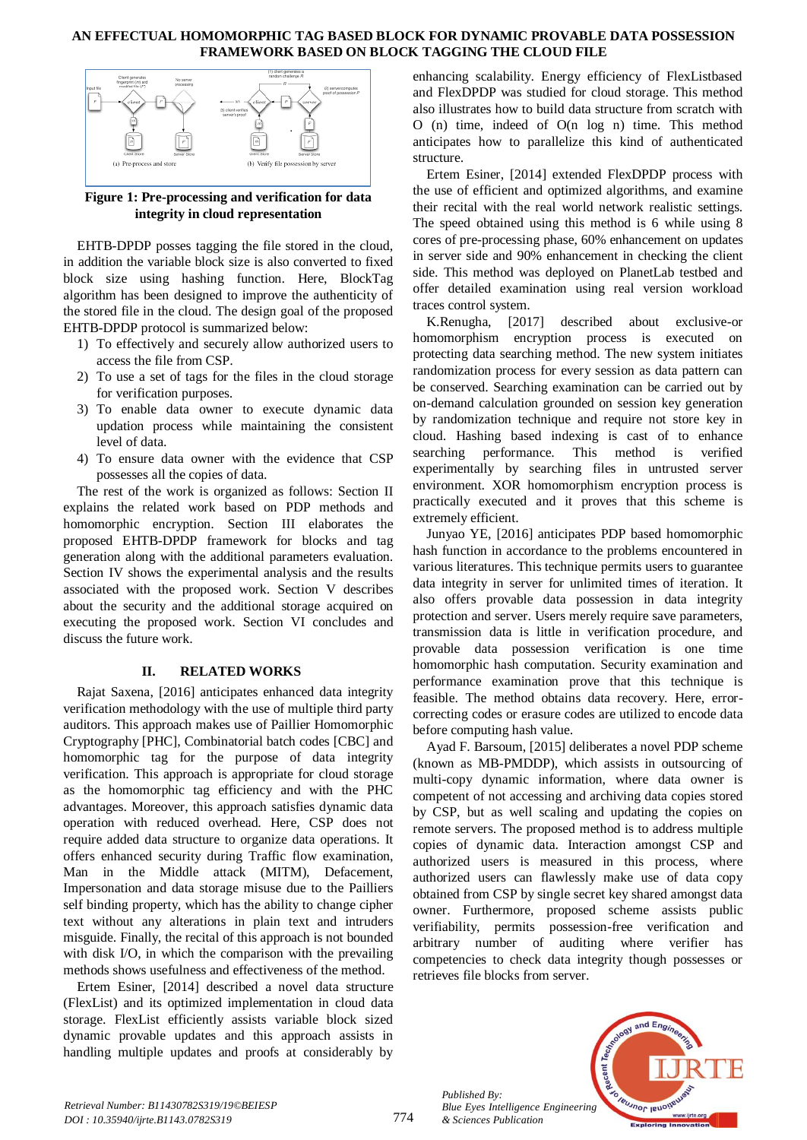

**Figure 1: Pre-processing and verification for data integrity in cloud representation**

EHTB-DPDP posses tagging the file stored in the cloud, in addition the variable block size is also converted to fixed block size using hashing function. Here, BlockTag algorithm has been designed to improve the authenticity of the stored file in the cloud. The design goal of the proposed EHTB-DPDP protocol is summarized below:

- 1) To effectively and securely allow authorized users to access the file from CSP.
- 2) To use a set of tags for the files in the cloud storage for verification purposes.
- 3) To enable data owner to execute dynamic data updation process while maintaining the consistent level of data.
- 4) To ensure data owner with the evidence that CSP possesses all the copies of data.

The rest of the work is organized as follows: Section II explains the related work based on PDP methods and homomorphic encryption. Section III elaborates the proposed EHTB-DPDP framework for blocks and tag generation along with the additional parameters evaluation. Section IV shows the experimental analysis and the results associated with the proposed work. Section V describes about the security and the additional storage acquired on executing the proposed work. Section VI concludes and discuss the future work.

# **II. RELATED WORKS**

Rajat Saxena, [2016] anticipates enhanced data integrity verification methodology with the use of multiple third party auditors. This approach makes use of Paillier Homomorphic Cryptography [PHC], Combinatorial batch codes [CBC] and homomorphic tag for the purpose of data integrity verification. This approach is appropriate for cloud storage as the homomorphic tag efficiency and with the PHC advantages. Moreover, this approach satisfies dynamic data operation with reduced overhead. Here, CSP does not require added data structure to organize data operations. It offers enhanced security during Traffic flow examination, Man in the Middle attack (MITM), Defacement, Impersonation and data storage misuse due to the Pailliers self binding property, which has the ability to change cipher text without any alterations in plain text and intruders misguide. Finally, the recital of this approach is not bounded with disk I/O, in which the comparison with the prevailing methods shows usefulness and effectiveness of the method.

Ertem Esiner, [2014] described a novel data structure (FlexList) and its optimized implementation in cloud data storage. FlexList efficiently assists variable block sized dynamic provable updates and this approach assists in handling multiple updates and proofs at considerably by

enhancing scalability. Energy efficiency of FlexListbased and FlexDPDP was studied for cloud storage. This method also illustrates how to build data structure from scratch with O (n) time, indeed of O(n log n) time. This method anticipates how to parallelize this kind of authenticated structure.

Ertem Esiner, [2014] extended FlexDPDP process with the use of efficient and optimized algorithms, and examine their recital with the real world network realistic settings. The speed obtained using this method is 6 while using 8 cores of pre-processing phase, 60% enhancement on updates in server side and 90% enhancement in checking the client side. This method was deployed on PlanetLab testbed and offer detailed examination using real version workload traces control system.

K.Renugha, [2017] described about exclusive-or homomorphism encryption process is executed on protecting data searching method. The new system initiates randomization process for every session as data pattern can be conserved. Searching examination can be carried out by on-demand calculation grounded on session key generation by randomization technique and require not store key in cloud. Hashing based indexing is cast of to enhance searching performance. This method is verified experimentally by searching files in untrusted server environment. XOR homomorphism encryption process is practically executed and it proves that this scheme is extremely efficient.

Junyao YE, [2016] anticipates PDP based homomorphic hash function in accordance to the problems encountered in various literatures. This technique permits users to guarantee data integrity in server for unlimited times of iteration. It also offers provable data possession in data integrity protection and server. Users merely require save parameters, transmission data is little in verification procedure, and provable data possession verification is one time homomorphic hash computation. Security examination and performance examination prove that this technique is feasible. The method obtains data recovery. Here, errorcorrecting codes or erasure codes are utilized to encode data before computing hash value.

Ayad F. Barsoum, [2015] deliberates a novel PDP scheme (known as MB-PMDDP), which assists in outsourcing of multi-copy dynamic information, where data owner is competent of not accessing and archiving data copies stored by CSP, but as well scaling and updating the copies on remote servers. The proposed method is to address multiple copies of dynamic data. Interaction amongst CSP and authorized users is measured in this process, where authorized users can flawlessly make use of data copy obtained from CSP by single secret key shared amongst data owner. Furthermore, proposed scheme assists public verifiability, permits possession-free verification and arbitrary number of auditing where verifier has competencies to check data integrity though possesses or retrieves file blocks from server.



*Published By:*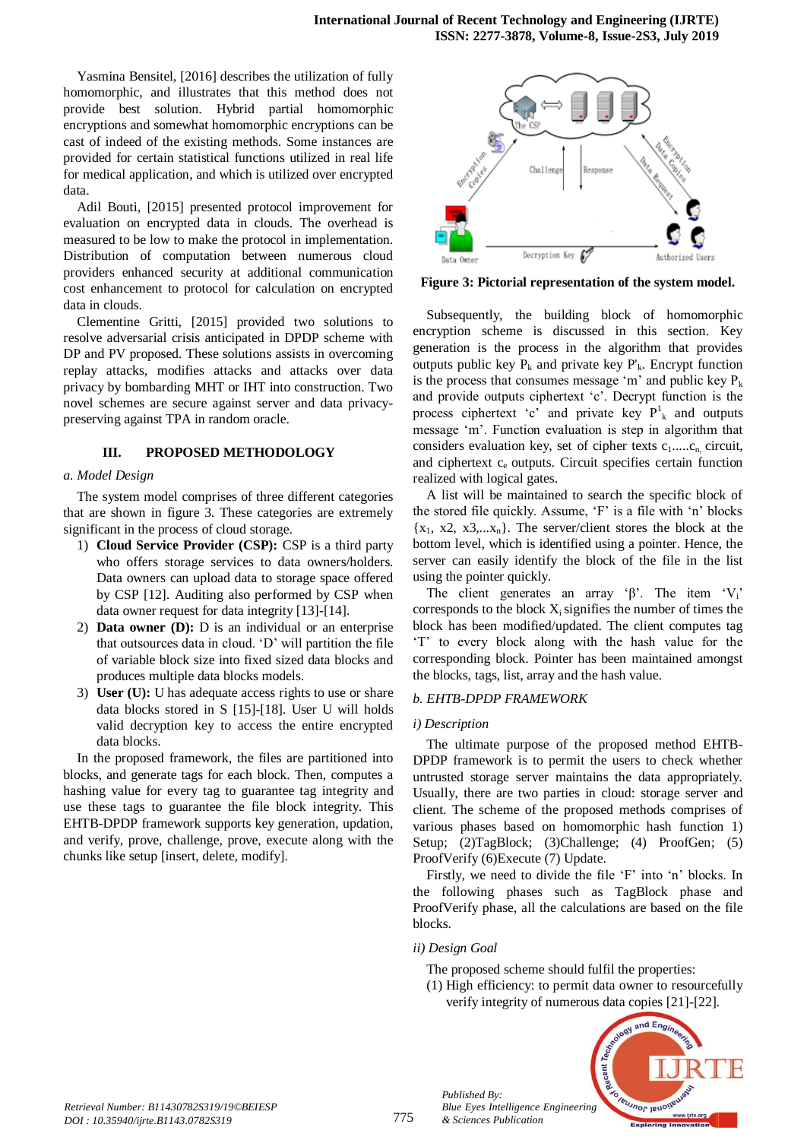Yasmina Bensitel, [2016] describes the utilization of fully homomorphic, and illustrates that this method does not provide best solution. Hybrid partial homomorphic encryptions and somewhat homomorphic encryptions can be cast of indeed of the existing methods. Some instances are provided for certain statistical functions utilized in real life for medical application, and which is utilized over encrypted data.

Adil Bouti, [2015] presented protocol improvement for evaluation on encrypted data in clouds. The overhead is measured to be low to make the protocol in implementation. Distribution of computation between numerous cloud providers enhanced security at additional communication cost enhancement to protocol for calculation on encrypted data in clouds.

Clementine Gritti, [2015] provided two solutions to resolve adversarial crisis anticipated in DPDP scheme with DP and PV proposed. These solutions assists in overcoming replay attacks, modifies attacks and attacks over data privacy by bombarding MHT or IHT into construction. Two novel schemes are secure against server and data privacypreserving against TPA in random oracle.

# **III. PROPOSED METHODOLOGY**

#### *a. Model Design*

The system model comprises of three different categories that are shown in figure 3. These categories are extremely significant in the process of cloud storage.

- 1) **Cloud Service Provider (CSP):** CSP is a third party who offers storage services to data owners/holders. Data owners can upload data to storage space offered by CSP [12]. Auditing also performed by CSP when data owner request for data integrity [13]-[14].
- 2) **Data owner (D):** D is an individual or an enterprise that outsources data in cloud. 'D' will partition the file of variable block size into fixed sized data blocks and produces multiple data blocks models.
- 3) **User (U):** U has adequate access rights to use or share data blocks stored in S [15]-[18]. User U will holds valid decryption key to access the entire encrypted data blocks.

In the proposed framework, the files are partitioned into blocks, and generate tags for each block. Then, computes a hashing value for every tag to guarantee tag integrity and use these tags to guarantee the file block integrity. This EHTB-DPDP framework supports key generation, updation, and verify, prove, challenge, prove, execute along with the chunks like setup [insert, delete, modify].



**Figure 3: Pictorial representation of the system model.**

Subsequently, the building block of homomorphic encryption scheme is discussed in this section. Key generation is the process in the algorithm that provides outputs public key  $P_k$  and private key  $P'_k$ . Encrypt function is the process that consumes message 'm' and public key  $P_k$ and provide outputs ciphertext 'c'. Decrypt function is the process ciphertext 'c' and private key  $P_k^l$  and outputs message 'm'. Function evaluation is step in algorithm that considers evaluation key, set of cipher texts  $c_1$ ..... $c_n$  circuit, and ciphertext  $c_e$  outputs. Circuit specifies certain function realized with logical gates.

A list will be maintained to search the specific block of the stored file quickly. Assume, 'F' is a file with 'n' blocks  $\{x_1, x_2, x_3, \ldots, x_n\}$ . The server/client stores the block at the bottom level, which is identified using a pointer. Hence, the server can easily identify the block of the file in the list using the pointer quickly.

The client generates an array ' $\beta$ '. The item 'V<sub>i</sub>' corresponds to the block  $X_i$  signifies the number of times the block has been modified/updated. The client computes tag 'T' to every block along with the hash value for the corresponding block. Pointer has been maintained amongst the blocks, tags, list, array and the hash value.

#### *b. EHTB-DPDP FRAMEWORK*

#### *i) Description*

The ultimate purpose of the proposed method EHTB-DPDP framework is to permit the users to check whether untrusted storage server maintains the data appropriately. Usually, there are two parties in cloud: storage server and client. The scheme of the proposed methods comprises of various phases based on homomorphic hash function 1) Setup; (2)TagBlock; (3)Challenge; (4) ProofGen; (5) ProofVerify (6)Execute (7) Update.

Firstly, we need to divide the file 'F' into 'n' blocks. In the following phases such as TagBlock phase and ProofVerify phase, all the calculations are based on the file blocks.

# *ii) Design Goal*

- The proposed scheme should fulfil the properties:
- (1) High efficiency: to permit data owner to resourcefully verify integrity of numerous data copies [21]-[22].



*Published By: Blue Eyes Intelligence Engineering & Sciences Publication*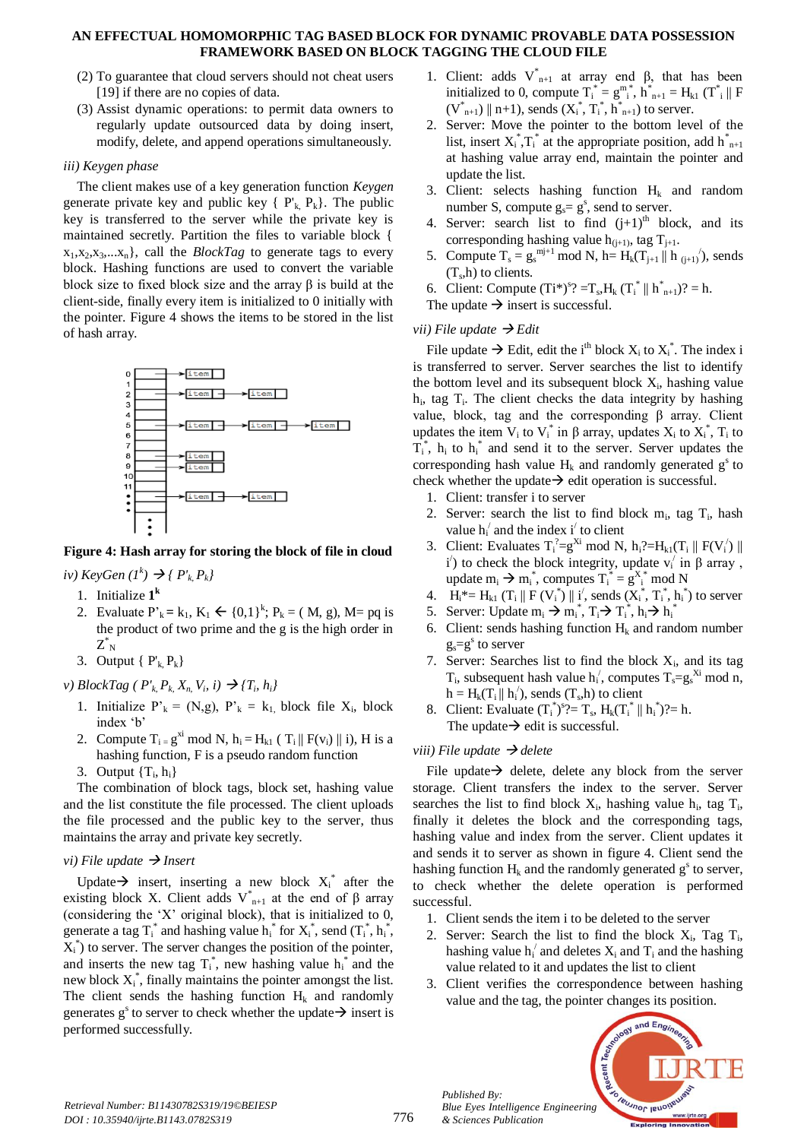- (2) To guarantee that cloud servers should not cheat users [19] if there are no copies of data.
- (3) Assist dynamic operations: to permit data owners to regularly update outsourced data by doing insert, modify, delete, and append operations simultaneously.

# *iii) Keygen phase*

The client makes use of a key generation function *Keygen* generate private key and public key  $\{P_k, P_k\}$ . The public key is transferred to the server while the private key is maintained secretly. Partition the files to variable block {  $x_1, x_2, x_3, \ldots, x_n$ , call the *BlockTag* to generate tags to every block. Hashing functions are used to convert the variable block size to fixed block size and the array β is build at the client-side, finally every item is initialized to 0 initially with the pointer. Figure 4 shows the items to be stored in the list of hash array.



# **Figure 4: Hash array for storing the block of file in cloud**

 $i$ <sup>*v*</sup>)  $K$ *eyGen*  $(I^k) \rightarrow \{P'_{k}, P_{k}\}$ 

- 1. Initialize **1 k**
- 2. Evaluate  $P'_{k} = k_1, K_1 \leftarrow \{0,1\}^{k}; P_{k} = (M, g), M = pq$  is the product of two prime and the g is the high order in  $\overline{Z}_{\ N}^{*}$
- 3. Output  ${ P_k, P_k }$
- *v*) *BlockTag* ( $P'_{k}$ ,  $P_{k}$ ,  $X_{n}$ ,  $V_{i}$ ,  $i) \rightarrow \{T_{i}$ ,  $h_{i}\}$ 
	- 1. Initialize  $P'_{k} = (N, g)$ ,  $P'_{k} = k_1$ , block file  $X_i$ , block index 'b'
	- 2. Compute  $T_i = g^{xi} \mod N$ ,  $h_i = H_{k1}$  ( $T_i || F(v_i) || i$ ), H is a hashing function, F is a pseudo random function
	- 3. Output  $\{T_i, h_i\}$

The combination of block tags, block set, hashing value and the list constitute the file processed. The client uploads the file processed and the public key to the server, thus maintains the array and private key secretly.

# *vi)* File update  $\rightarrow$  Insert

Update  $\rightarrow$  insert, inserting a new block  $X_i^*$  after the existing block X. Client adds  $V^*_{n+1}$  at the end of β array (considering the 'X' original block), that is initialized to 0, generate a tag  $T_i^*$  and hashing value  $h_i^*$  for  $X_i^*$ , send  $(T_i^*, h_i^*,$  $X_i^*$ ) to server. The server changes the position of the pointer, and inserts the new tag  $T_i^*$ , new hashing value  $h_i^*$  and the new block  $X_i^*$ , finally maintains the pointer amongst the list. The client sends the hashing function  $H_k$  and randomly generates  $g^s$  to server to check whether the update  $\rightarrow$  insert is performed successfully.

- 1. Client: adds  $V^*_{n+1}$  at array end β, that has been initialized to 0, compute  $T_i^* = g_{i}^{m^*}, h_{n+1}^* = H_{k1}$  ( $T_i^* \parallel F$  $(V^*_{n+1}) \parallel n+1$ , sends  $(X_i^*, T_i^*, h^*_{n+1})$  to server.
- 2. Server: Move the pointer to the bottom level of the list, insert  $X_i^*$ ,  $T_i^*$  at the appropriate position, add  $h_{n+1}^*$ at hashing value array end, maintain the pointer and update the list.
- 3. Client: selects hashing function  $H_k$  and random number S, compute  $g_s = g^s$ , send to server.
- 4. Server: search list to find  $(i+1)$ <sup>th</sup> block, and its corresponding hashing value  $h_{(j+1)}$ , tag T<sub>i+1</sub>.
- 5. Compute  $T_s = g_s^{m j+1} \mod N$ , h=  $H_k(T_{j+1} \parallel h_{(j+1)}')$ , sends  $(T<sub>s</sub>,h)$  to clients.
- 6. Client: Compute  $(Ti^*)^s$ ? =  $T_s$ ,  $H_k$   $(T_i^* \parallel h_{n+1}^*)$ ? = h.
- The update  $\rightarrow$  insert is successful.

# *vii*) File update  $\rightarrow$  Edit

File update  $\rightarrow$  Edit, edit the i<sup>th</sup> block  $X_i$  to  $X_i^*$ . The index i is transferred to server. Server searches the list to identify the bottom level and its subsequent block  $X_i$ , hashing value h<sub>i</sub>, tag T<sub>i</sub>. The client checks the data integrity by hashing value, block, tag and the corresponding β array. Client updates the item  $V_i$  to  $V_i^*$  in  $\beta$  array, updates  $X_i$  to  $X_i^*$ ,  $T_i$  to  $T_i^*$ ,  $h_i$  to  $h_i^*$  and send it to the server. Server updates the corresponding hash value  $H_k$  and randomly generated  $g^s$  to check whether the update  $\rightarrow$  edit operation is successful.

- 1. Client: transfer i to server
- 2. Server: search the list to find block  $m_i$ , tag  $T_i$ , hash value  $h_i'$  and the index i' to client
- 3. Client: Evaluates  $T_i^2=g^{Xi} \mod N$ ,  $h_i^2=H_{k1}(T_i \parallel F(V_i') \parallel$ i') to check the block integrity, update  $v_i'$  in  $\beta$  array, update  $m_i \rightarrow m_i^*$ , computes  $T_i^* = g_{i}^{X^*}$  mod N
- 4.  $H_i^* = H_{k1} (T_i || F(V_i^*) || i', \text{ sends } (X_i^*, T_i^*, h_i^*) \text{ to server})$
- 5. Server: Update  $m_i \rightarrow m_i^*$ ,  $T_i \rightarrow T_i^*$ ,  $h_i \rightarrow h_i^*$
- 6. Client: sends hashing function  $H_k$  and random number  $g_s = g^s$  to server
- 7. Server: Searches list to find the block  $X_i$ , and its tag  $T_i$ , subsequent hash value  $h_i'$ , computes  $T_s = g_s^{X_i} \mod n$ ,  $h = H_k(T_i || h_i),$  sends  $(T_s,h)$  to client
- 8. Client: Evaluate  $(T_i^*)^s$ ?=  $T_s$ ,  $H_k(T_i^* \parallel h_i^*)$ ?= h. The update  $\rightarrow$  edit is successful.

# *viii)* File update  $\rightarrow$  delete

File update  $\rightarrow$  delete, delete any block from the server storage. Client transfers the index to the server. Server searches the list to find block  $X_i$ , hashing value  $h_i$ , tag  $T_i$ , finally it deletes the block and the corresponding tags, hashing value and index from the server. Client updates it and sends it to server as shown in figure 4. Client send the hashing function  $H_k$  and the randomly generated  $g^s$  to server, to check whether the delete operation is performed successful.

- 1. Client sends the item i to be deleted to the server
- 2. Server: Search the list to find the block  $X_i$ , Tag  $T_i$ , hashing value  $h_i'$  and deletes  $X_i$  and  $T_i$  and the hashing value related to it and updates the list to client
- 3. Client verifies the correspondence between hashing value and the tag, the pointer changes its position.



*Published By:*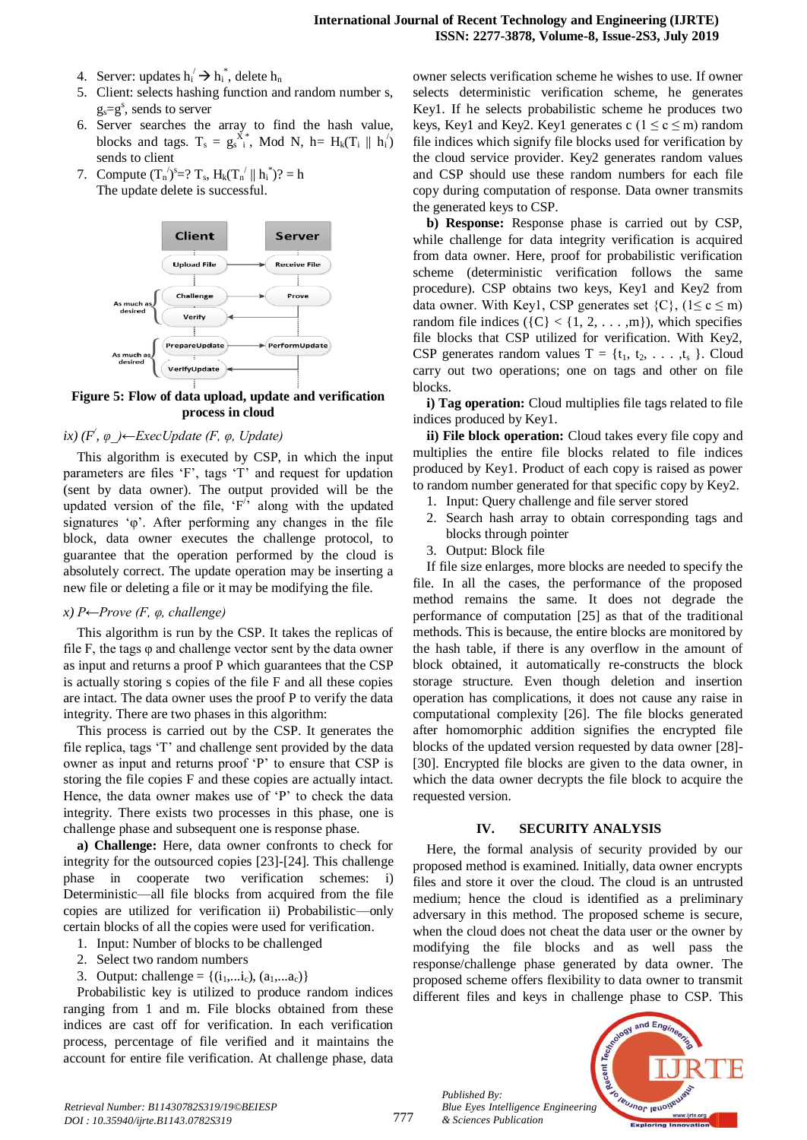- 4. Server: updates  $h_i \rightarrow h_i^*$ , delete  $h_n$
- 5. Client: selects hashing function and random number s,  $g_s = g^s$ , sends to server
- 6. Server searches the array to find the hash value, blocks and tags.  $T_s = g_s^{X^*}$ , Mod N, h= H<sub>k</sub>(T<sub>i</sub> || h<sub>i</sub>) sends to client
- 7. Compute  $(T_n^{'})^s = ? T_s$ ,  $H_k(T_n^{'}) \| h_i^{'})$ ? = h The update delete is successful.



**Figure 5: Flow of data upload, update and verification process in cloud**

# *ix) (F/ , φ\_)←ExecUpdate (F, φ, Update)*

This algorithm is executed by CSP, in which the input parameters are files 'F', tags 'T' and request for updation (sent by data owner). The output provided will be the updated version of the file, ' $F'$ ' along with the updated signatures 'φ'. After performing any changes in the file block, data owner executes the challenge protocol, to guarantee that the operation performed by the cloud is absolutely correct. The update operation may be inserting a new file or deleting a file or it may be modifying the file.

#### *x) P←Prove (F, φ, challenge)*

This algorithm is run by the CSP. It takes the replicas of file F, the tags  $\varphi$  and challenge vector sent by the data owner as input and returns a proof P which guarantees that the CSP is actually storing s copies of the file F and all these copies are intact. The data owner uses the proof P to verify the data integrity. There are two phases in this algorithm:

This process is carried out by the CSP. It generates the file replica, tags 'T' and challenge sent provided by the data owner as input and returns proof 'P' to ensure that CSP is storing the file copies F and these copies are actually intact. Hence, the data owner makes use of 'P' to check the data integrity. There exists two processes in this phase, one is challenge phase and subsequent one is response phase.

**a) Challenge:** Here, data owner confronts to check for integrity for the outsourced copies [23]-[24]. This challenge phase in cooperate two verification schemes: i) Deterministic—all file blocks from acquired from the file copies are utilized for verification ii) Probabilistic—only certain blocks of all the copies were used for verification.

- 1. Input: Number of blocks to be challenged
- 2. Select two random numbers
- 3. Output: challenge = { $(i_1,...i_c)$ ,  $(a_1,...a_c)$ }

Probabilistic key is utilized to produce random indices ranging from 1 and m. File blocks obtained from these indices are cast off for verification. In each verification process, percentage of file verified and it maintains the account for entire file verification. At challenge phase, data

owner selects verification scheme he wishes to use. If owner selects deterministic verification scheme, he generates Key1. If he selects probabilistic scheme he produces two keys, Key1 and Key2. Key1 generates c ( $1 \le c \le m$ ) random file indices which signify file blocks used for verification by the cloud service provider. Key2 generates random values and CSP should use these random numbers for each file copy during computation of response. Data owner transmits the generated keys to CSP.

**b) Response:** Response phase is carried out by CSP, while challenge for data integrity verification is acquired from data owner. Here, proof for probabilistic verification scheme (deterministic verification follows the same procedure). CSP obtains two keys, Key1 and Key2 from data owner. With Keyl, CSP generates set  $\{C\}$ ,  $(1 \le c \le m)$ random file indices  $({C} < {1, 2, \ldots, m})$ , which specifies file blocks that CSP utilized for verification. With Key2, CSP generates random values  $T = \{t_1, t_2, \ldots, t_s\}$ . Cloud carry out two operations; one on tags and other on file blocks.

**i) Tag operation:** Cloud multiplies file tags related to file indices produced by Key1.

**ii) File block operation:** Cloud takes every file copy and multiplies the entire file blocks related to file indices produced by Key1. Product of each copy is raised as power to random number generated for that specific copy by Key2.

- 1. Input: Query challenge and file server stored
- 2. Search hash array to obtain corresponding tags and blocks through pointer
- 3. Output: Block file

If file size enlarges, more blocks are needed to specify the file. In all the cases, the performance of the proposed method remains the same. It does not degrade the performance of computation [25] as that of the traditional methods. This is because, the entire blocks are monitored by the hash table, if there is any overflow in the amount of block obtained, it automatically re-constructs the block storage structure. Even though deletion and insertion operation has complications, it does not cause any raise in computational complexity [26]. The file blocks generated after homomorphic addition signifies the encrypted file blocks of the updated version requested by data owner [28]- [30]. Encrypted file blocks are given to the data owner, in which the data owner decrypts the file block to acquire the requested version.

#### **IV. SECURITY ANALYSIS**

Here, the formal analysis of security provided by our proposed method is examined. Initially, data owner encrypts files and store it over the cloud. The cloud is an untrusted medium; hence the cloud is identified as a preliminary adversary in this method. The proposed scheme is secure, when the cloud does not cheat the data user or the owner by modifying the file blocks and as well pass the response/challenge phase generated by data owner. The proposed scheme offers flexibility to data owner to transmit different files and keys in challenge phase to CSP. This

*Published By: Blue Eyes Intelligence Engineering & Sciences Publication* 

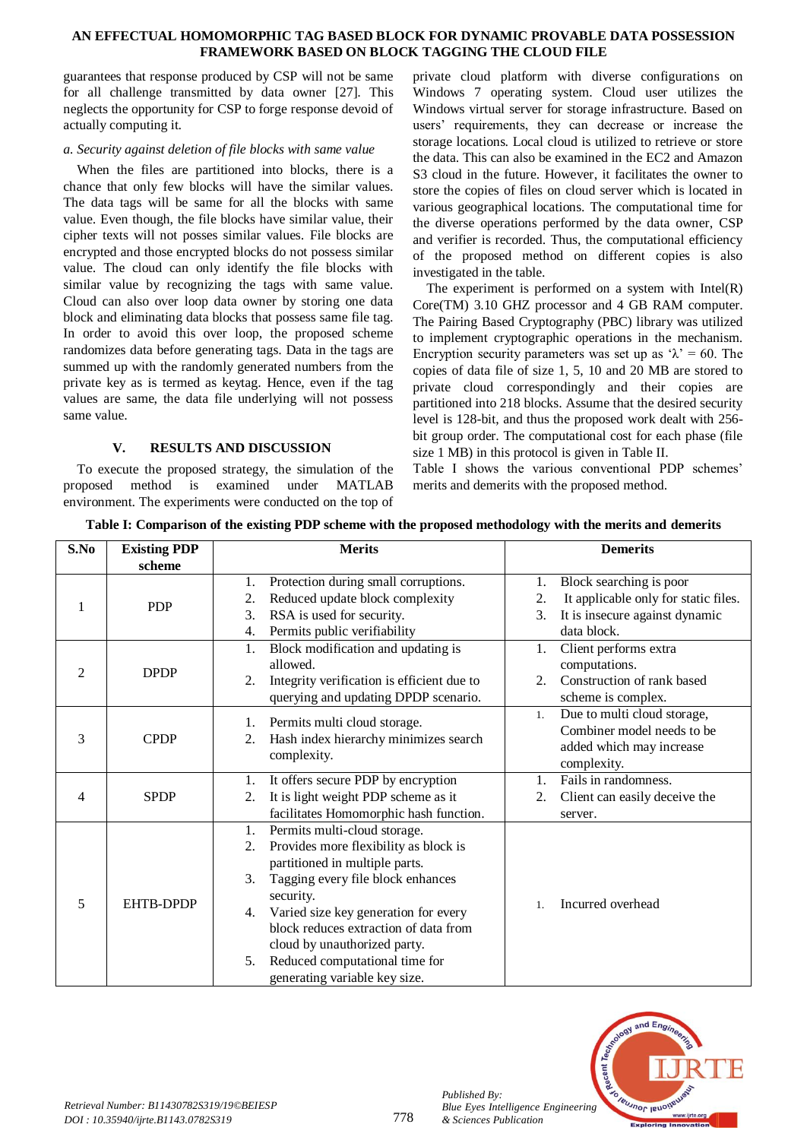guarantees that response produced by CSP will not be same for all challenge transmitted by data owner [27]. This neglects the opportunity for CSP to forge response devoid of actually computing it.

# *a. Security against deletion of file blocks with same value*

When the files are partitioned into blocks, there is a chance that only few blocks will have the similar values. The data tags will be same for all the blocks with same value. Even though, the file blocks have similar value, their cipher texts will not posses similar values. File blocks are encrypted and those encrypted blocks do not possess similar value. The cloud can only identify the file blocks with similar value by recognizing the tags with same value. Cloud can also over loop data owner by storing one data block and eliminating data blocks that possess same file tag. In order to avoid this over loop, the proposed scheme randomizes data before generating tags. Data in the tags are summed up with the randomly generated numbers from the private key as is termed as keytag. Hence, even if the tag values are same, the data file underlying will not possess same value.

# **V. RESULTS AND DISCUSSION**

To execute the proposed strategy, the simulation of the proposed method is examined under MATLAB environment. The experiments were conducted on the top of

private cloud platform with diverse configurations on Windows 7 operating system. Cloud user utilizes the Windows virtual server for storage infrastructure. Based on users' requirements, they can decrease or increase the storage locations. Local cloud is utilized to retrieve or store the data. This can also be examined in the EC2 and Amazon S3 cloud in the future. However, it facilitates the owner to store the copies of files on cloud server which is located in various geographical locations. The computational time for the diverse operations performed by the data owner, CSP and verifier is recorded. Thus, the computational efficiency of the proposed method on different copies is also investigated in the table.

The experiment is performed on a system with  $Intel(R)$ Core(TM) 3.10 GHZ processor and 4 GB RAM computer. The Pairing Based Cryptography (PBC) library was utilized to implement cryptographic operations in the mechanism. Encryption security parameters was set up as  $\lambda$ <sup>2</sup> = 60. The copies of data file of size 1, 5, 10 and 20 MB are stored to private cloud correspondingly and their copies are partitioned into 218 blocks. Assume that the desired security level is 128-bit, and thus the proposed work dealt with 256 bit group order. The computational cost for each phase (file size 1 MB) in this protocol is given in Table II.

Table I shows the various conventional PDP schemes' merits and demerits with the proposed method.

|  |  |  |  | Table I: Comparison of the existing PDP scheme with the proposed methodology with the merits and demerits |  |  |  |  |
|--|--|--|--|-----------------------------------------------------------------------------------------------------------|--|--|--|--|
|--|--|--|--|-----------------------------------------------------------------------------------------------------------|--|--|--|--|

| S.No           | <b>Existing PDP</b> | <b>Merits</b>                                    | <b>Demerits</b>                            |  |  |
|----------------|---------------------|--------------------------------------------------|--------------------------------------------|--|--|
|                | scheme              |                                                  |                                            |  |  |
|                |                     | Protection during small corruptions.<br>1.       | Block searching is poor<br>1.              |  |  |
| 1              | <b>PDP</b>          | Reduced update block complexity<br>2.            | It applicable only for static files.<br>2. |  |  |
|                |                     | RSA is used for security.<br>3.                  | It is insecure against dynamic<br>3.       |  |  |
|                |                     | Permits public verifiability<br>4.               | data block.                                |  |  |
|                |                     | Block modification and updating is<br>1.         | Client performs extra<br>1.                |  |  |
| $\overline{2}$ | <b>DPDP</b>         | allowed.                                         | computations.                              |  |  |
|                |                     | Integrity verification is efficient due to<br>2. | Construction of rank based<br>2.           |  |  |
|                |                     | querying and updating DPDP scenario.             | scheme is complex.                         |  |  |
|                |                     | Permits multi cloud storage.<br>1.               | Due to multi cloud storage,<br>1.          |  |  |
| 3              | <b>CPDP</b>         | Hash index hierarchy minimizes search<br>2.      | Combiner model needs to be                 |  |  |
|                |                     | complexity.                                      | added which may increase                   |  |  |
|                |                     |                                                  | complexity.                                |  |  |
|                |                     | It offers secure PDP by encryption<br>1.         | Fails in randomness.<br>1.                 |  |  |
| $\overline{4}$ | <b>SPDP</b>         | It is light weight PDP scheme as it<br>2.        | Client can easily deceive the<br>2.        |  |  |
|                |                     | facilitates Homomorphic hash function.           | server.                                    |  |  |
|                |                     | Permits multi-cloud storage.<br>1.               |                                            |  |  |
|                | <b>EHTB-DPDP</b>    | Provides more flexibility as block is<br>2.      |                                            |  |  |
|                |                     | partitioned in multiple parts.                   |                                            |  |  |
|                |                     | Tagging every file block enhances<br>3.          |                                            |  |  |
| 5              |                     | security.                                        | Incurred overhead                          |  |  |
|                |                     | Varied size key generation for every<br>4.       | $\mathbf{1}$ .                             |  |  |
|                |                     | block reduces extraction of data from            |                                            |  |  |
|                |                     | cloud by unauthorized party.                     |                                            |  |  |
|                |                     | Reduced computational time for<br>5.             |                                            |  |  |
|                |                     | generating variable key size.                    |                                            |  |  |



*Published By:*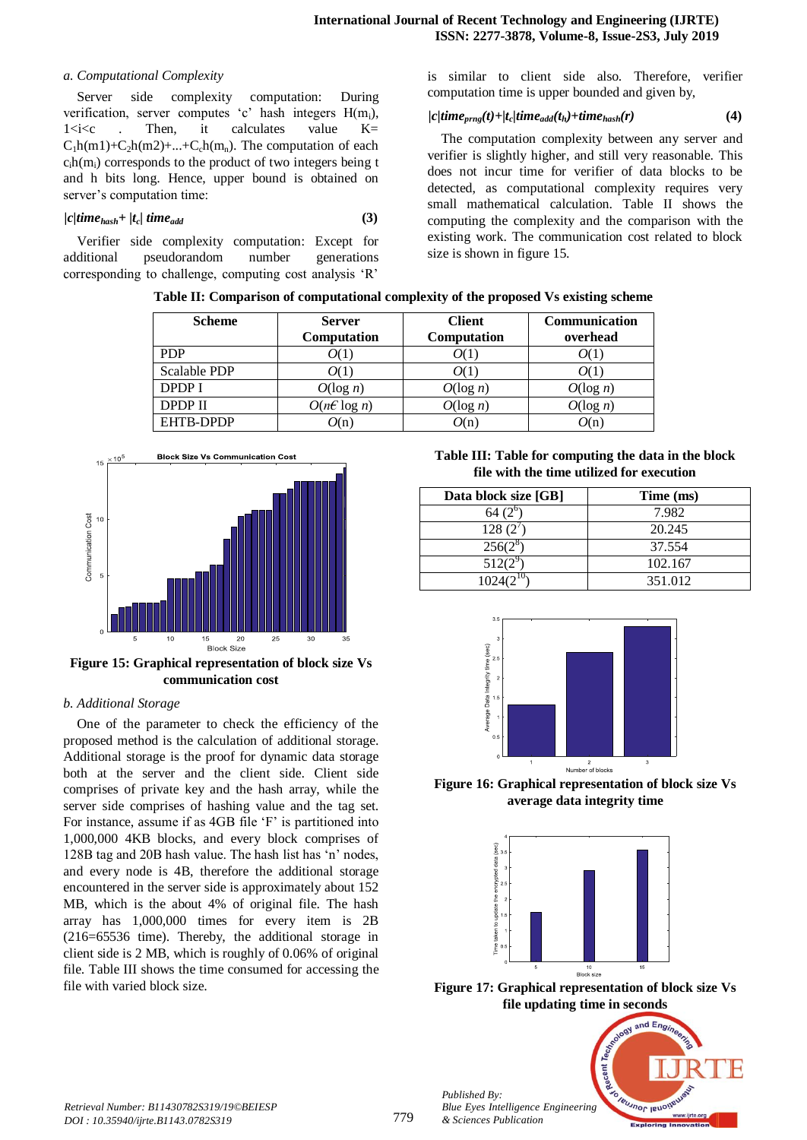## *a. Computational Complexity*

Server side complexity computation: During verification, server computes 'c' hash integers  $H(m_i)$ ,  $1 \le i \le c$  . Then, it calculates value  $K =$  $C_1h(m1)+C_2h(m2)+...+C_ch(m_n)$ . The computation of each  $c<sub>i</sub>h(m<sub>i</sub>)$  corresponds to the product of two integers being t and h bits long. Hence, upper bound is obtained on server's computation time:

$$
|c|time_{hash} + |t_c|time_{add}
$$
\n(3)

Verifier side complexity computation: Except for additional pseudorandom number generations corresponding to challenge, computing cost analysis 'R'

is similar to client side also. Therefore, verifier computation time is upper bounded and given by,

# $|c|$ time<sub>prng</sub> $(t)$ + $|t_c|$ time<sub>add</sub> $(t_h)$ +time<sub>hash</sub> $(r)$  **(4)**

The computation complexity between any server and verifier is slightly higher, and still very reasonable. This does not incur time for verifier of data blocks to be detected, as computational complexity requires very small mathematical calculation. Table II shows the computing the complexity and the comparison with the existing work. The communication cost related to block size is shown in figure 15.

**Table II: Comparison of computational complexity of the proposed Vs existing scheme**

| <b>Scheme</b> | <b>Server</b><br>Computation | <b>Client</b><br>Computation | <b>Communication</b><br>overhead |
|---------------|------------------------------|------------------------------|----------------------------------|
| <b>PDP</b>    | O(1)                         | 0(1                          | O(1)                             |
| Scalable PDP  | O(1)                         | 0(1                          |                                  |
| <b>DPDP I</b> | $O(\log n)$                  | $O(\log n)$                  | $O(\log n)$                      |
| DPDP II       | $O(n \epsilon \log n)$       | $O(\log n)$                  | $O(\log n)$                      |
| EHTB-DPDP     | O(n)                         | O(n)                         | O(n)                             |



**Figure 15: Graphical representation of block size Vs communication cost**

# *b. Additional Storage*

One of the parameter to check the efficiency of the proposed method is the calculation of additional storage. Additional storage is the proof for dynamic data storage both at the server and the client side. Client side comprises of private key and the hash array, while the server side comprises of hashing value and the tag set. For instance, assume if as 4GB file 'F' is partitioned into 1,000,000 4KB blocks, and every block comprises of 128B tag and 20B hash value. The hash list has 'n' nodes, and every node is 4B, therefore the additional storage encountered in the server side is approximately about 152 MB, which is the about 4% of original file. The hash array has 1,000,000 times for every item is 2B (216=65536 time). Thereby, the additional storage in client side is 2 MB, which is roughly of 0.06% of original file. Table III shows the time consumed for accessing the file with varied block size.

**Table III: Table for computing the data in the block file with the time utilized for execution**

| Data block size [GB] | Time (ms) |
|----------------------|-----------|
| 64 (2                | 7.982     |
| 128(2)               | 20.245    |
| $256(2^s)$           | 37.554    |
| $512(2^5)$           | 102.167   |
|                      | 351.012   |



**Figure 16: Graphical representation of block size Vs average data integrity time**



**Figure 17: Graphical representation of block size Vs file updating time in seconds**



*Published By:*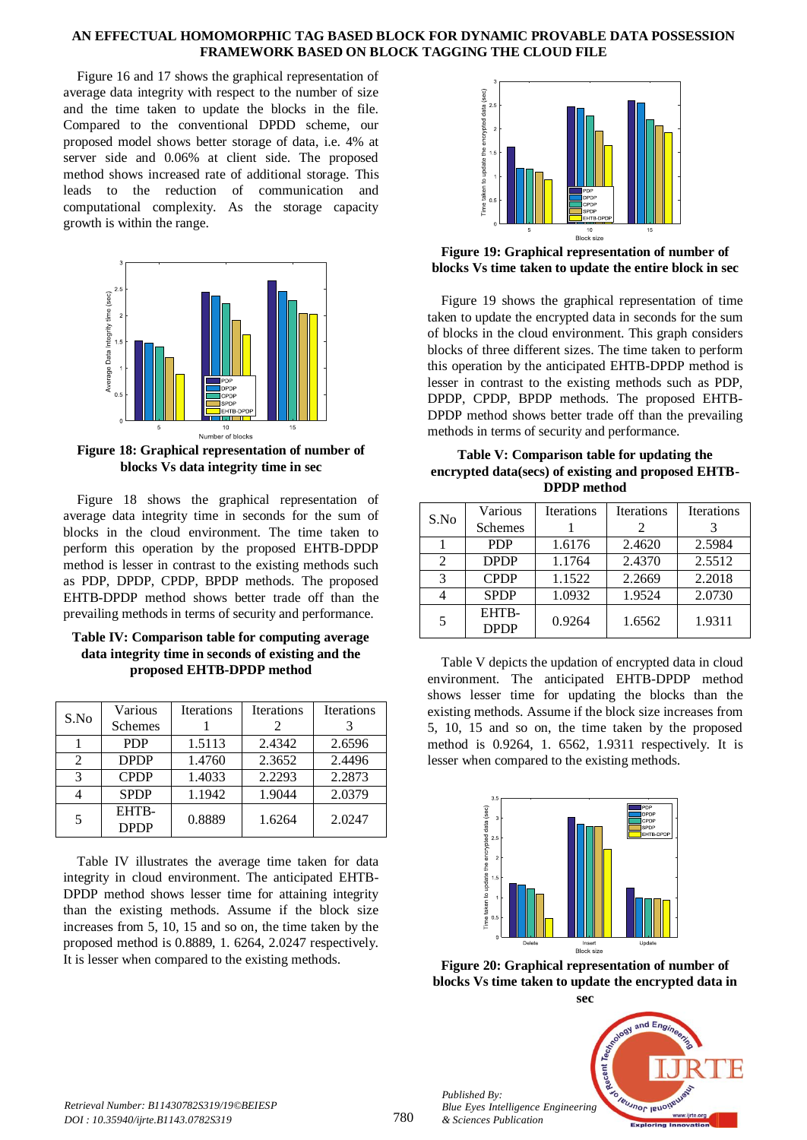Figure 16 and 17 shows the graphical representation of average data integrity with respect to the number of size and the time taken to update the blocks in the file. Compared to the conventional DPDD scheme, our proposed model shows better storage of data, i.e. 4% at server side and 0.06% at client side. The proposed method shows increased rate of additional storage. This leads to the reduction of communication and computational complexity. As the storage capacity growth is within the range.



**Figure 18: Graphical representation of number of blocks Vs data integrity time in sec**

Figure 18 shows the graphical representation of average data integrity time in seconds for the sum of blocks in the cloud environment. The time taken to perform this operation by the proposed EHTB-DPDP method is lesser in contrast to the existing methods such as PDP, DPDP, CPDP, BPDP methods. The proposed EHTB-DPDP method shows better trade off than the prevailing methods in terms of security and performance.

| Table IV: Comparison table for computing average   |
|----------------------------------------------------|
| data integrity time in seconds of existing and the |
| proposed EHTB-DPDP method                          |

| S.No | Various<br><b>Schemes</b> | <b>Iterations</b> | <b>Iterations</b><br>2 | <b>Iterations</b> |
|------|---------------------------|-------------------|------------------------|-------------------|
|      |                           |                   |                        |                   |
|      | <b>PDP</b>                | 1.5113            | 2.4342                 | 2.6596            |
| 2    | <b>DPDP</b>               | 1.4760            | 2.3652                 | 2.4496            |
| 3    | <b>CPDP</b>               | 1.4033            | 2.2293                 | 2.2873            |
|      | <b>SPDP</b>               | 1.1942            | 1.9044                 | 2.0379            |
| 5    | EHTB-<br><b>DPDP</b>      | 0.8889            | 1.6264                 | 2.0247            |

Table IV illustrates the average time taken for data integrity in cloud environment. The anticipated EHTB-DPDP method shows lesser time for attaining integrity than the existing methods. Assume if the block size increases from 5, 10, 15 and so on, the time taken by the proposed method is 0.8889, 1. 6264, 2.0247 respectively. It is lesser when compared to the existing methods.



## **Figure 19: Graphical representation of number of blocks Vs time taken to update the entire block in sec**

Figure 19 shows the graphical representation of time taken to update the encrypted data in seconds for the sum of blocks in the cloud environment. This graph considers blocks of three different sizes. The time taken to perform this operation by the anticipated EHTB-DPDP method is lesser in contrast to the existing methods such as PDP, DPDP, CPDP, BPDP methods. The proposed EHTB-DPDP method shows better trade off than the prevailing methods in terms of security and performance.

## **Table V: Comparison table for updating the encrypted data(secs) of existing and proposed EHTB-DPDP method**

| S.No | Various<br>Schemes   | <b>Iterations</b> | <b>Iterations</b><br>2 | <b>Iterations</b> |
|------|----------------------|-------------------|------------------------|-------------------|
|      | <b>PDP</b>           | 1.6176            | 2.4620                 | 2.5984            |
| 2    | <b>DPDP</b>          | 1.1764            | 2.4370                 | 2.5512            |
| 3    | <b>CPDP</b>          | 1.1522            | 2.2669                 | 2.2018            |
|      | <b>SPDP</b>          | 1.0932            | 1.9524                 | 2.0730            |
| 5    | EHTB-<br><b>DPDP</b> | 0.9264            | 1.6562                 | 1.9311            |

Table V depicts the updation of encrypted data in cloud environment. The anticipated EHTB-DPDP method shows lesser time for updating the blocks than the existing methods. Assume if the block size increases from 5, 10, 15 and so on, the time taken by the proposed method is 0.9264, 1. 6562, 1.9311 respectively. It is lesser when compared to the existing methods.



**Figure 20: Graphical representation of number of blocks Vs time taken to update the encrypted data in** 



*Retrieval Number: B11430782S319/19©BEIESP DOI : 10.35940/ijrte.B1143.0782S319*

*Published By:*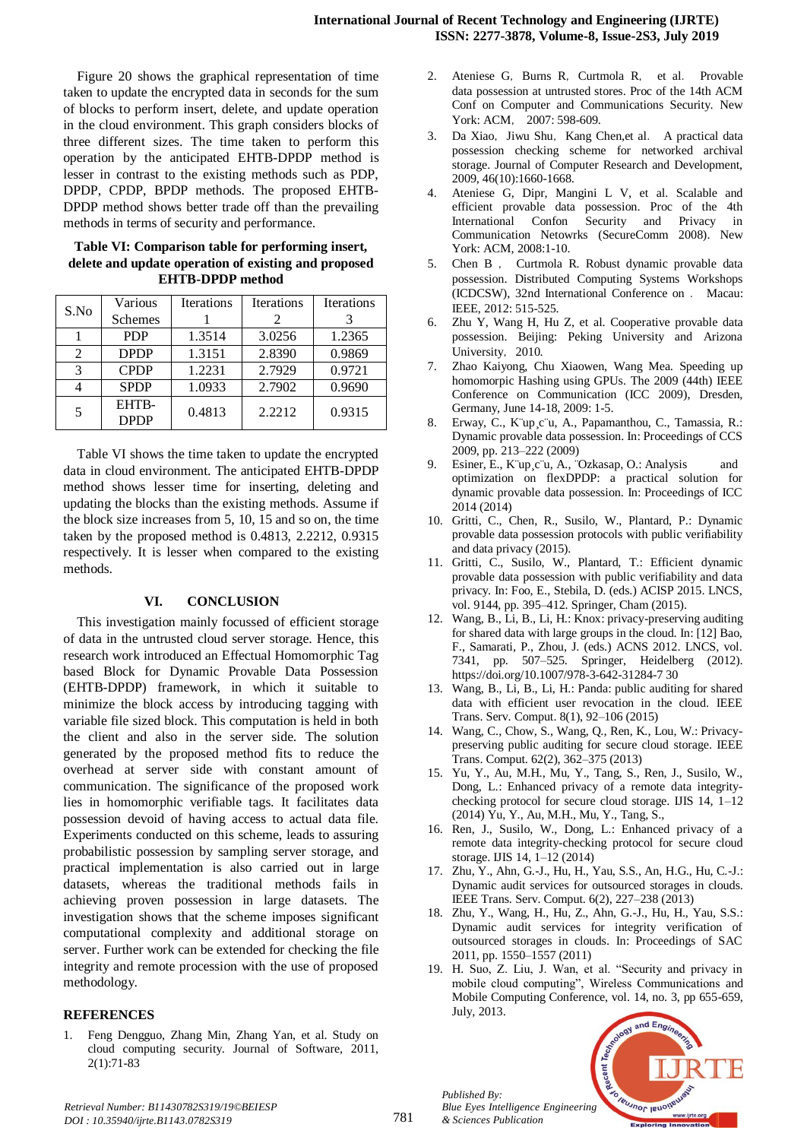Figure 20 shows the graphical representation of time taken to update the encrypted data in seconds for the sum of blocks to perform insert, delete, and update operation in the cloud environment. This graph considers blocks of three different sizes. The time taken to perform this operation by the anticipated EHTB-DPDP method is lesser in contrast to the existing methods such as PDP, DPDP, CPDP, BPDP methods. The proposed EHTB-DPDP method shows better trade off than the prevailing methods in terms of security and performance.

**Table VI: Comparison table for performing insert, delete and update operation of existing and proposed EHTB-DPDP method**

| S.No                        | Various              | <b>Iterations</b> | <b>Iterations</b> | <b>Iterations</b> |
|-----------------------------|----------------------|-------------------|-------------------|-------------------|
|                             | <b>Schemes</b>       |                   |                   |                   |
|                             | <b>PDP</b>           | 1.3514            | 3.0256            | 1.2365            |
| $\mathcal{D}_{\mathcal{L}}$ | <b>DPDP</b>          | 1.3151            | 2.8390            | 0.9869            |
| 3                           | <b>CPDP</b>          | 1.2231            | 2.7929            | 0.9721            |
|                             | <b>SPDP</b>          | 1.0933            | 2.7902            | 0.9690            |
| 5                           | EHTB-<br><b>DPDP</b> | 0.4813            | 2.2212            | 0.9315            |

Table VI shows the time taken to update the encrypted data in cloud environment. The anticipated EHTB-DPDP method shows lesser time for inserting, deleting and updating the blocks than the existing methods. Assume if the block size increases from 5, 10, 15 and so on, the time taken by the proposed method is 0.4813, 2.2212, 0.9315 respectively. It is lesser when compared to the existing methods.

# **VI. CONCLUSION**

This investigation mainly focussed of efficient storage of data in the untrusted cloud server storage. Hence, this research work introduced an Effectual Homomorphic Tag based Block for Dynamic Provable Data Possession (EHTB-DPDP) framework, in which it suitable to minimize the block access by introducing tagging with variable file sized block. This computation is held in both the client and also in the server side. The solution generated by the proposed method fits to reduce the overhead at server side with constant amount of communication. The significance of the proposed work lies in homomorphic verifiable tags. It facilitates data possession devoid of having access to actual data file. Experiments conducted on this scheme, leads to assuring probabilistic possession by sampling server storage, and practical implementation is also carried out in large datasets, whereas the traditional methods fails in achieving proven possession in large datasets. The investigation shows that the scheme imposes significant computational complexity and additional storage on server. Further work can be extended for checking the file integrity and remote procession with the use of proposed methodology.

## **REFERENCES**

1. Feng Dengguo, Zhang Min, Zhang Yan, et al. Study on cloud computing security. Journal of Software, 2011, 2(1):71-83

- 2. Ateniese G, Burns R, Curtmola R, et al. Provable data possession at untrusted stores. Proc of the 14th ACM Conf on Computer and Communications Security. New York: ACM, 2007: 598-609.
- 3. Da Xiao, Jiwu Shu, Kang Chen,et al. A practical data possession checking scheme for networked archival storage. Journal of Computer Research and Development, 2009, 46(10):1660-1668.
- 4. Ateniese G, Dipr, Mangini L V, et al. Scalable and efficient provable data possession. Proc of the 4th International Confon Security and Privacy in Communication Netowrks (SecureComm 2008). New York: ACM, 2008:1-10.
- 5. Chen B , Curtmola R. Robust dynamic provable data possession. Distributed Computing Systems Workshops (ICDCSW), 32nd International Conference on . Macau: IEEE, 2012: 515-525.
- 6. Zhu Y, Wang H, Hu Z, et al. Cooperative provable data possession. Beijing: Peking University and Arizona University, 2010.
- 7. Zhao Kaiyong, Chu Xiaowen, Wang Mea. Speeding up homomorpic Hashing using GPUs. The 2009 (44th) IEEE Conference on Communication (ICC 2009), Dresden, Germany, June 14-18, 2009: 1-5.
- 8. Erway, C., K¨up¸c¨u, A., Papamanthou, C., Tamassia, R.: Dynamic provable data possession. In: Proceedings of CCS 2009, pp. 213–222 (2009)
- 9. Esiner, E., K¨up¸c¨u, A., ¨Ozkasap, O.: Analysis and optimization on flexDPDP: a practical solution for dynamic provable data possession. In: Proceedings of ICC 2014 (2014)
- 10. Gritti, C., Chen, R., Susilo, W., Plantard, P.: Dynamic provable data possession protocols with public verifiability and data privacy (2015).
- 11. Gritti, C., Susilo, W., Plantard, T.: Efficient dynamic provable data possession with public verifiability and data privacy. In: Foo, E., Stebila, D. (eds.) ACISP 2015. LNCS, vol. 9144, pp. 395–412. Springer, Cham (2015).
- 12. Wang, B., Li, B., Li, H.: Knox: privacy-preserving auditing for shared data with large groups in the cloud. In: [12] Bao, F., Samarati, P., Zhou, J. (eds.) ACNS 2012. LNCS, vol. 7341, pp. 507–525. Springer, Heidelberg (2012). [https://doi.org/10.1007/978-3-642-31284-7 30](https://doi.org/10.1007/978-3-642-31284-7%2030)
- 13. Wang, B., Li, B., Li, H.: Panda: public auditing for shared data with efficient user revocation in the cloud. IEEE Trans. Serv. Comput. 8(1), 92–106 (2015)
- 14. Wang, C., Chow, S., Wang, Q., Ren, K., Lou, W.: Privacypreserving public auditing for secure cloud storage. IEEE Trans. Comput. 62(2), 362–375 (2013)
- 15. Yu, Y., Au, M.H., Mu, Y., Tang, S., Ren, J., Susilo, W., Dong, L.: Enhanced privacy of a remote data integritychecking protocol for secure cloud storage. IJIS 14, 1–12 (2014) Yu, Y., Au, M.H., Mu, Y., Tang, S.,
- 16. Ren, J., Susilo, W., Dong, L.: Enhanced privacy of a remote data integrity-checking protocol for secure cloud storage. IJIS 14, 1–12 (2014)
- 17. Zhu, Y., Ahn, G.-J., Hu, H., Yau, S.S., An, H.G., Hu, C.-J.: Dynamic audit services for outsourced storages in clouds. IEEE Trans. Serv. Comput. 6(2), 227–238 (2013)
- 18. Zhu, Y., Wang, H., Hu, Z., Ahn, G.-J., Hu, H., Yau, S.S.: Dynamic audit services for integrity verification of outsourced storages in clouds. In: Proceedings of SAC 2011, pp. 1550–1557 (2011)
- 19. H. Suo, Z. Liu, J. Wan, et al. "Security and privacy in mobile cloud computing", Wireless Communications and Mobile Computing Conference, vol. 14, no. 3, pp 655-659, July, 2013.



*Published By:*